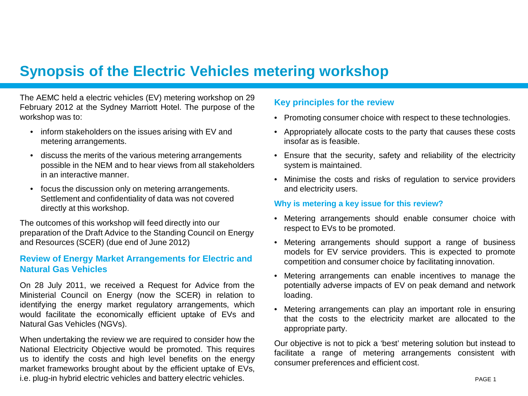# **Synopsis of the Electric Vehicles metering workshop**

The AEMC held a electric vehicles (EV) metering workshop on 29 February 2012 at the Sydney Marriott Hotel. The purpose of the workshop was to:

- inform stakeholders on the issues arising with EV and metering arrangements.
- discuss the merits of the various metering arrangements possible in the NEM and to hear views from all stakeholders in an interactive manner.
- focus the discussion only on metering arrangements. Settlement and confidentiality of data was not covered directly at this workshop.

The outcomes of this workshop will feed directly into our preparation of the Draft Advice to the Standing Council on Energy and Resources (SCER) (due end of June 2012)

## **Review of Energy Market Arrangements for Electric and Natural Gas Vehicles**

On 28 July 2011, we received a Request for Advice from the Ministerial Council on Energy (now the SCER) in relation to identifying the energy market regulatory arrangements, which would facilitate the economically efficient uptake of EVs and Natural Gas Vehicles (NGVs).

When undertaking the review we are required to consider how the National Electricity Objective would be promoted. This requires us to identify the costs and high level benefits on the energy market frameworks brought about by the efficient uptake of EVs, i.e. plug-in hybrid electric vehicles and battery electric vehicles.

## **Key principles for the review**

- Promoting consumer choice with respect to these technologies.
- Appropriately allocate costs to the party that causes these costs insofar as is feasible.
- Ensure that the security, safety and reliability of the electricity system is maintained.
- Minimise the costs and risks of regulation to service providers and electricity users.

#### **Why is metering a key issue for this review?**

- Metering arrangements should enable consumer choice with respect to EVs to be promoted.
- Metering arrangements should support a range of business models for EV service providers. This is expected to promote competition and consumer choice by facilitating innovation.
- Metering arrangements can enable incentives to manage the potentially adverse impacts of EV on peak demand and network loading.
- Metering arrangements can play an important role in ensuring that the costs to the electricity market are allocated to the appropriate party.

Our objective is not to pick a 'best' metering solution but instead to facilitate a range of metering arrangements consistent with consumer preferences and efficient cost.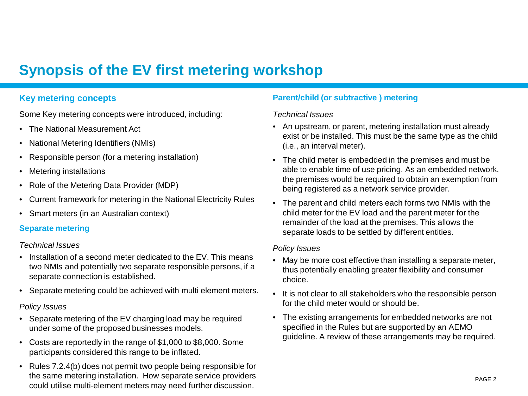# **Synopsis of the EV first metering workshop**

## **Key metering concepts**

Some Key metering concepts were introduced, including:

- The National Measurement Act
- National Metering Identifiers (NMIs)
- Responsible person (for a metering installation)
- **Metering installations**
- Role of the Metering Data Provider (MDP)
- Current framework for metering in the National Electricity Rules
- Smart meters (in an Australian context)

## **Separate metering**

## *Technical Issues*

- Installation of a second meter dedicated to the EV. This means two NMIs and potentially two separate responsible persons, if a separate connection is established.
- Separate metering could be achieved with multi element meters.

## *Policy Issues*

- Separate metering of the EV charging load may be required under some of the proposed businesses models.
- Costs are reportedly in the range of \$1,000 to \$8,000. Some participants considered this range to be inflated.
- Rules 7.2.4(b) does not permit two people being responsible for the same metering installation. How separate service providers could utilise multi-element meters may need further discussion.

## **Parent/child (or subtractive ) metering**

## *Technical Issues*

- An upstream, or parent, metering installation must already exist or be installed. This must be the same type as the child (i.e., an interval meter).
- The child meter is embedded in the premises and must be able to enable time of use pricing. As an embedded network, the premises would be required to obtain an exemption from being registered as a network service provider.
- The parent and child meters each forms two NMIs with the child meter for the EV load and the parent meter for the remainder of the load at the premises. This allows the separate loads to be settled by different entities.

## *Policy Issues*

- May be more cost effective than installing a separate meter, thus potentially enabling greater flexibility and consumer choice.
- It is not clear to all stakeholders who the responsible person for the child meter would or should be.
- The existing arrangements for embedded networks are not specified in the Rules but are supported by an AEMO guideline. A review of these arrangements may be required.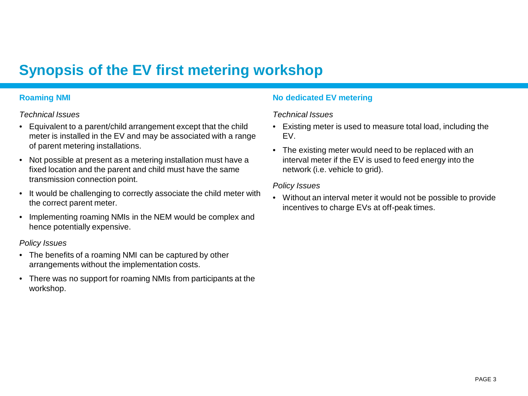# **Synopsis of the EV first metering workshop**

## **Roaming NMI**

## *Technical Issues*

- Equivalent to a parent/child arrangement except that the child meter is installed in the EV and may be associated with a range of parent metering installations.
- Not possible at present as a metering installation must have a fixed location and the parent and child must have the same transmission connection point.
- It would be challenging to correctly associate the child meter with the correct parent meter.
- Implementing roaming NMIs in the NEM would be complex and hence potentially expensive.

## *Policy Issues*

- The benefits of a roaming NMI can be captured by other arrangements without the implementation costs.
- There was no support for roaming NMIs from participants at the workshop.

## **No dedicated EV metering**

## *Technical Issues*

- Existing meter is used to measure total load, including the EV.
- The existing meter would need to be replaced with an interval meter if the EV is used to feed energy into the network (i.e. vehicle to grid).

#### *Policy Issues*

• Without an interval meter it would not be possible to provide incentives to charge EVs at off-peak times.